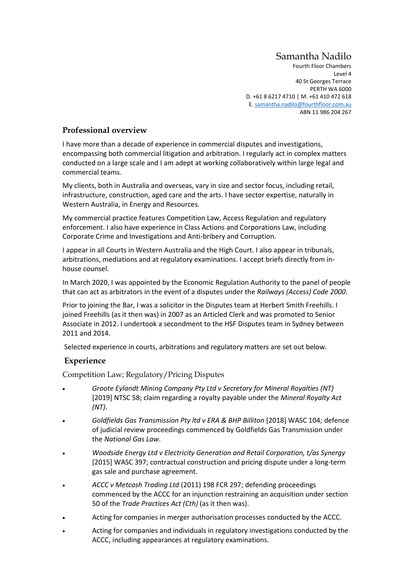## Samantha Nadilo

Fourth Floor Chambers Level 4 40 St Georges Terrace PERTH WA 6000 D. +61 8 6217 4710 | M. +61 410 472 618 E[. samantha.nadilo@fourthfloor.com.au](mailto:samantha.nadilo@fourthfloor.com.au) ABN 11 986 204 267

## **Professional overview**

I have more than a decade of experience in commercial disputes and investigations, encompassing both commercial litigation and arbitration. I regularly act in complex matters conducted on a large scale and I am adept at working collaboratively within large legal and commercial teams.

My clients, both in Australia and overseas, vary in size and sector focus, including retail, infrastructure, construction, aged care and the arts. I have sector expertise, naturally in Western Australia, in Energy and Resources.

My commercial practice features Competition Law, Access Regulation and regulatory enforcement. I also have experience in Class Actions and Corporations Law, including Corporate Crime and Investigations and Anti-bribery and Corruption.

I appear in all Courts in Western Australia and the High Court. I also appear in tribunals, arbitrations, mediations and at regulatory examinations. I accept briefs directly from inhouse counsel.

In March 2020, I was appointed by the Economic Regulation Authority to the panel of people that can act as arbitrators in the event of a disputes under the *Railways (Access) Code 2000*.

Prior to joining the Bar, I was a solicitor in the Disputes team at Herbert Smith Freehills. I joined Freehills (as it then was) in 2007 as an Articled Clerk and was promoted to Senior Associate in 2012. I undertook a secondment to the HSF Disputes team in Sydney between 2011 and 2014.

Selected experience in courts, arbitrations and regulatory matters are set out below.

## **Experience**

Competition Law; Regulatory/Pricing Disputes

- *Groote Eylandt Mining Company Pty Ltd v Secretary for Mineral Royalties (NT)* [2019] NTSC 58; claim regarding a royalty payable under the *Mineral Royalty Act (NT)*.
- *Goldfields Gas Transmission Pty ltd v ERA & BHP Billiton* [2018] WASC 104; defence of judicial review proceedings commenced by Goldfields Gas Transmission under the *National Gas Law*.
- *Woodside Energy Ltd v Electricity Generation and Retail Corporation, t/as Synergy* [2015] WASC 397; contractual construction and pricing dispute under a long-term gas sale and purchase agreement.
- *ACCC v Metcash Trading Ltd* (2011) 198 FCR 297; defending proceedings commenced by the ACCC for an injunction restraining an acquisition under section 50 of the *Trade Practices Act (Cth)* (as it then was).
- Acting for companies in merger authorisation processes conducted by the ACCC.
- Acting for companies and individuals in regulatory investigations conducted by the ACCC, including appearances at regulatory examinations.